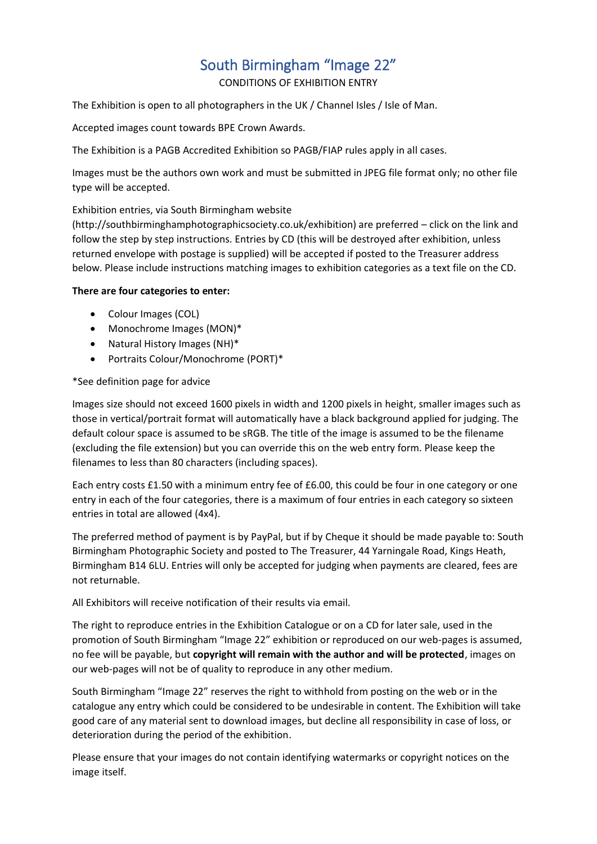# South Birmingham "Image 22"

CONDITIONS OF EXHIBITION ENTRY

The Exhibition is open to all photographers in the UK / Channel Isles / Isle of Man.

Accepted images count towards BPE Crown Awards.

The Exhibition is a PAGB Accredited Exhibition so PAGB/FIAP rules apply in all cases.

Images must be the authors own work and must be submitted in JPEG file format only; no other file type will be accepted.

### Exhibition entries, via South Birmingham website

(http://southbirminghamphotographicsociety.co.uk/exhibition) are preferred – click on the link and follow the step by step instructions. Entries by CD (this will be destroyed after exhibition, unless returned envelope with postage is supplied) will be accepted if posted to the Treasurer address below. Please include instructions matching images to exhibition categories as a text file on the CD.

#### **There are four categories to enter:**

- Colour Images (COL)
- Monochrome Images (MON)\*
- Natural History Images (NH)\*
- Portraits Colour/Monochrome (PORT)\*

#### \*See definition page for advice

Images size should not exceed 1600 pixels in width and 1200 pixels in height, smaller images such as those in vertical/portrait format will automatically have a black background applied for judging. The default colour space is assumed to be sRGB. The title of the image is assumed to be the filename (excluding the file extension) but you can override this on the web entry form. Please keep the filenames to less than 80 characters (including spaces).

Each entry costs £1.50 with a minimum entry fee of £6.00, this could be four in one category or one entry in each of the four categories, there is a maximum of four entries in each category so sixteen entries in total are allowed (4x4).

The preferred method of payment is by PayPal, but if by Cheque it should be made payable to: South Birmingham Photographic Society and posted to The Treasurer, 44 Yarningale Road, Kings Heath, Birmingham B14 6LU. Entries will only be accepted for judging when payments are cleared, fees are not returnable.

All Exhibitors will receive notification of their results via email.

The right to reproduce entries in the Exhibition Catalogue or on a CD for later sale, used in the promotion of South Birmingham "Image 22" exhibition or reproduced on our web-pages is assumed, no fee will be payable, but **copyright will remain with the author and will be protected**, images on our web-pages will not be of quality to reproduce in any other medium.

South Birmingham "Image 22" reserves the right to withhold from posting on the web or in the catalogue any entry which could be considered to be undesirable in content. The Exhibition will take good care of any material sent to download images, but decline all responsibility in case of loss, or deterioration during the period of the exhibition.

Please ensure that your images do not contain identifying watermarks or copyright notices on the image itself.